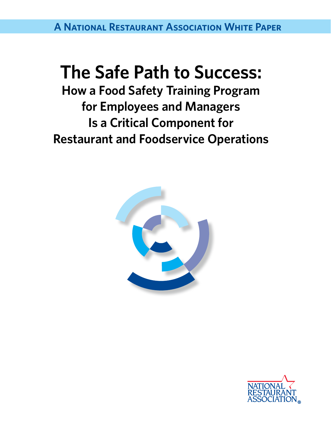**A National Restaurant Association White Paper**

# **The Safe Path to Success:**

**How a Food Safety Training Program for Employees and Managers Is a Critical Component for Restaurant and Foodservice Operations**



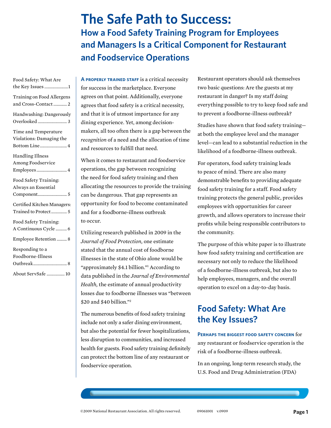# **The Safe Path to Success: How a Food Safety Training Program for Employees and Managers Is a Critical Component for Restaurant and Foodservice Operations**

| Food Safety: What Are<br>the Key Issues1                          |
|-------------------------------------------------------------------|
| Training on Food Allergens<br>and Cross-Contact 2                 |
| Handwashing: Dangerously                                          |
| Time and Temperature<br>Violations: Damaging the<br>Bottom Line 4 |
| <b>Handling Illness</b><br>Among Foodservice                      |
| Food Safety Training:<br>Always an Essential                      |
| Certified Kitchen Managers:<br>Trained to Protect 5               |
| Food Safety Training:<br>A Continuous Cycle  6                    |
| Employee Retention  8                                             |
| Responding to a<br>Foodborne-Illness                              |
| About ServSafe  10                                                |

**A properly trained staff** is a critical necessity for success in the marketplace. Everyone agrees on that point. Additionally, everyone agrees that food safety is a critical necessity, and that it is of utmost importance for any dining experience. Yet, among decisionmakers, all too often there is a gap between the *recognition* of a need and the allocation of time and resources to fulfill that need.

When it comes to restaurant and foodservice operations, the gap between recognizing the need for food safety training and then allocating the resources to provide the training can be dangerous. That gap represents an opportunity for food to become contaminated and for a foodborne-illness outbreak to occur.

Utilizing research published in 2009 in the *Journal of Food Protection,* one estimate stated that the annual cost of foodborne illnesses in the state of Ohio alone would be "approximately \$4.1 billion."1 According to data published in the *Journal of Environmental Health,* the estimate of annual productivity losses due to foodborne illnesses was "between \$20 and \$40 billion."2

The numerous benefits of food safety training include not only a safer dining environment, but also the potential for fewer hospitalizations, less disruption to communities, and increased health for guests. Food safety training definitely can protect the bottom line of any restaurant or foodservice operation.

Restaurant operators should ask themselves two basic questions: Are the guests at my restaurant in danger? Is my staff doing everything possible to try to keep food safe and to prevent a foodborne-illness outbreak?

Studies have shown that food safety training at both the employee level and the manager level—can lead to a substantial reduction in the likelihood of a foodborne-illness outbreak.

For operators, food safety training leads to peace of mind. There are also many demonstrable benefits to providing adequate food safety training for a staff. Food safety training protects the general public, provides employees with opportunities for career growth, and allows operators to increase their profits while being responsible contributors to the community.

The purpose of this white paper is to illustrate how food safety training and certification are necessary not only to reduce the likelihood of a foodborne-illness outbreak, but also to help employees, managers, and the overall operation to excel on a day-to-day basis.

### **Food Safety: What Are the Key Issues?**

**Perhaps the biggest food safety concern** for any restaurant or foodservice operation is the risk of a foodborne-illness outbreak.

In an ongoing, long-term research study, the U.S. Food and Drug Administration (FDA)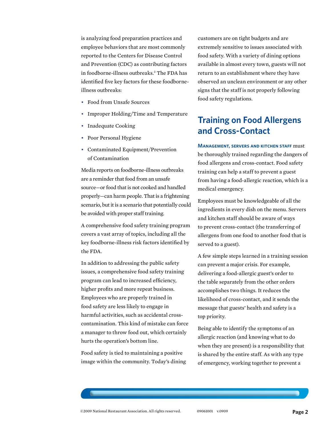is analyzing food preparation practices and employee behaviors that are most commonly reported to the Centers for Disease Control and Prevention (CDC) as contributing factors in foodborne-illness outbreaks.3 The FDA has identified five key factors for these foodborneillness outbreaks:

- Food from Unsafe Sources
- Improper Holding/Time and Temperature
- Inadequate Cooking
- Poor Personal Hygiene
- Contaminated Equipment/Prevention of Contamination

Media reports on foodborne-illness outbreaks are a reminder that food from an unsafe source—or food that is not cooked and handled properly—can harm people. That is a frightening scenario, but it is a scenario that potentially could be avoided with proper staff training.

A comprehensive food safety training program covers a vast array of topics, including all the key foodborne-illness risk factors identified by the FDA.

In addition to addressing the public safety issues, a comprehensive food safety training program can lead to increased efficiency, higher profits and more repeat business. Employees who are properly trained in food safety are less likely to engage in harmful activities, such as accidental crosscontamination. This kind of mistake can force a manager to throw food out, which certainly hurts the operation's bottom line.

Food safety is tied to maintaining a positive image within the community. Today's dining customers are on tight budgets and are extremely sensitive to issues associated with food safety. With a variety of dining options available in almost every town, guests will not return to an establishment where they have observed an unclean environment or any other signs that the staff is not properly following food safety regulations.

## **Training on Food Allergens and Cross-Contact**

**Management, servers and kitchen staff** must be thoroughly trained regarding the dangers of food allergens and cross-contact. Food safety training can help a staff to prevent a guest from having a food-allergic reaction, which is a medical emergency.

Employees must be knowledgeable of all the ingredients in every dish on the menu. Servers and kitchen staff should be aware of ways to prevent cross-contact (the transferring of allergens from one food to another food that is served to a guest).

A few simple steps learned in a training session can prevent a major crisis. For example, delivering a food-allergic guest's order to the table separately from the other orders accomplishes two things. It reduces the likelihood of cross-contact, and it sends the message that guests' health and safety is a top priority.

Being able to identify the symptoms of an allergic reaction (and knowing what to do when they are present) is a responsibility that is shared by the entire staff. As with any type of emergency, working together to prevent a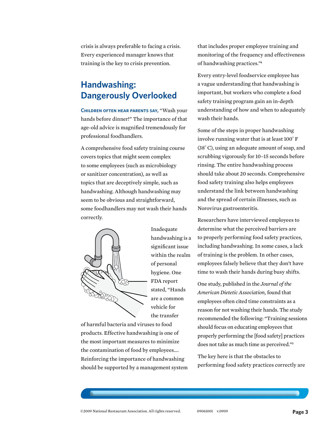crisis is always preferable to facing a crisis. Every experienced manager knows that training is the key to crisis prevention.

### **Handwashing: Dangerously Overlooked**

**Children often hear parents say,** "Wash your hands before dinner!" The importance of that age-old advice is magnified tremendously for professional foodhandlers.

A comprehensive food safety training course covers topics that might seem complex to some employees (such as microbiology or sanitizer concentration), as well as topics that are deceptively simple, such as handwashing. Although handwashing may seem to be obvious and straightforward, some foodhandlers may not wash their hands correctly.



Inadequate handwashing is a significant issue within the realm of personal hygiene. One FDA report stated, "Hands are a common vehicle for the transfer

of harmful bacteria and viruses to food products. Effective handwashing is one of the most important measures to minimize the contamination of food by employees…. Reinforcing the importance of handwashing should be supported by a management system that includes proper employee training and monitoring of the frequency and effectiveness of handwashing practices."4

Every entry-level foodservice employee has a vague understanding that handwashing is important, but workers who complete a food safety training program gain an in-depth understanding of how and when to adequately wash their hands.

Some of the steps in proper handwashing involve running water that is at least 100˚ F (38˚ C), using an adequate amount of soap, and scrubbing vigorously for 10–15 seconds before rinsing. The entire handwashing process should take about 20 seconds. Comprehensive food safety training also helps employees understand the link between handwashing and the spread of certain illnesses, such as Norovirus gastroenteritis.

Researchers have interviewed employees to determine what the perceived barriers are to properly performing food safety practices, including handwashing. In some cases, a lack of training is the problem. In other cases, employees falsely believe that they don't have time to wash their hands during busy shifts.

One study, published in the *Journal of the American Dietetic Association,* found that employees often cited time constraints as a reason for not washing their hands. The study recommended the following: "Training sessions should focus on educating employees that properly performing the [food safety] practices does not take as much time as perceived."5

The key here is that the obstacles to performing food safety practices correctly are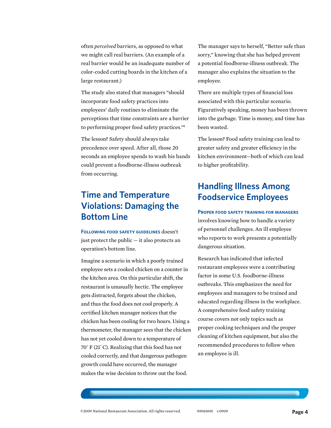often *perceived* barriers, as opposed to what we might call real barriers. (An example of a real barrier would be an inadequate number of color-coded cutting boards in the kitchen of a large restaurant.)

The study also stated that managers "should incorporate food safety practices into employees' daily routines to eliminate the perceptions that time constraints are a barrier to performing proper food safety practices."6

The lesson? Safety should always take precedence over speed. After all, those 20 seconds an employee spends to wash his hands could prevent a foodborne-illness outbreak from occurring.

### **Time and Temperature Violations: Damaging the Bottom Line**

**Following food safety guidelines** doesn't just protect the public — it also protects an operation's bottom line.

Imagine a scenario in which a poorly trained employee sets a cooked chicken on a counter in the kitchen area. On this particular shift, the restaurant is unusually hectic. The employee gets distracted, forgets about the chicken, and thus the food does not cool properly. A certified kitchen manager notices that the chicken has been cooling for two hours. Using a thermometer, the manager sees that the chicken has not yet cooled down to a temperature of 70˚ F (21˚ C). Realizing that this food has not cooled correctly, and that dangerous pathogen growth could have occurred, the manager makes the wise decision to throw out the food.

The manager says to herself, "Better safe than sorry," knowing that she has helped prevent a potential foodborne-illness outbreak. The manager also explains the situation to the employee.

There are multiple types of financial loss associated with this particular scenario. Figuratively speaking, money has been thrown into the garbage. Time is money, and time has been wasted.

The lesson? Food safety training can lead to greater safety and greater efficiency in the kitchen environment—both of which can lead to higher profitability.

### **Handling Illness Among Foodservice Employees**

#### **Proper food safety training for managers**

involves knowing how to handle a variety of personnel challenges. An ill employee who reports to work presents a potentially dangerous situation.

Research has indicated that infected restaurant employees were a contributing factor in some U.S. foodborne-illness outbreaks. This emphasizes the need for employees and managers to be trained and educated regarding illness in the workplace. A comprehensive food safety training course covers not only topics such as proper cooking techniques and the proper cleaning of kitchen equipment, but also the recommended procedures to follow when an employee is ill.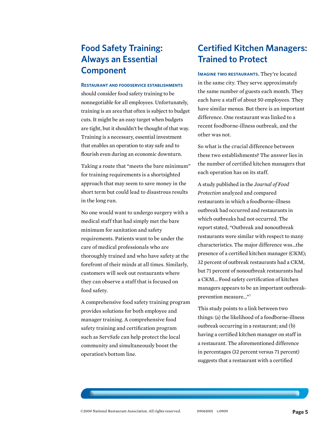### **Food Safety Training: Always an Essential Component**

#### **Restaurant and foodservice establishments**

should consider food safety training to be nonnegotiable for all employees. Unfortunately, training is an area that often is subject to budget cuts. It might be an easy target when budgets are tight, but it shouldn't be thought of that way. Training is a necessary, essential investment that enables an operation to stay safe and to flourish even during an economic downturn.

Taking a route that "meets the bare minimum" for training requirements is a shortsighted approach that may seem to save money in the short term but could lead to disastrous results in the long run.

No one would want to undergo surgery with a medical staff that had simply met the bare minimum for sanitation and safety requirements. Patients want to be under the care of medical professionals who are thoroughly trained and who have safety at the forefront of their minds at all times. Similarly, customers will seek out restaurants where they can observe a staff that is focused on food safety.

A comprehensive food safety training program provides solutions for both employee and manager training. A comprehensive food safety training and certification program such as ServSafe can help protect the local community and simultaneously boost the operation's bottom line.

### **Certified Kitchen Managers: Trained to Protect**

**Imagine two restaurants.** They're located in the same city. They serve approximately the same number of guests each month. They each have a staff of about 50 employees. They have similar menus. But there is an important difference. One restaurant was linked to a recent foodborne-illness outbreak, and the other was not.

So what is the crucial difference between these two establishments? The answer lies in the number of certified kitchen managers that each operation has on its staff.

A study published in the *Journal of Food Protection* analyzed and compared restaurants in which a foodborne-illness outbreak had occurred and restaurants in which outbreaks had not occurred. The report stated, "Outbreak and nonoutbreak restaurants were similar with respect to many characteristics. The major difference was…the presence of a certified kitchen manager (CKM); 32 percent of outbreak restaurants had a CKM, but 71 percent of nonoutbreak restaurants had a CKM… Food safety certification of kitchen managers appears to be an important outbreakprevention measure…"7

This study points to a link between two things: (a) the likelihood of a foodborne-illness outbreak occurring in a restaurant; and (b) having a certified kitchen manager on staff in a restaurant. The aforementioned difference in percentages (32 percent versus 71 percent) suggests that a restaurant with a certified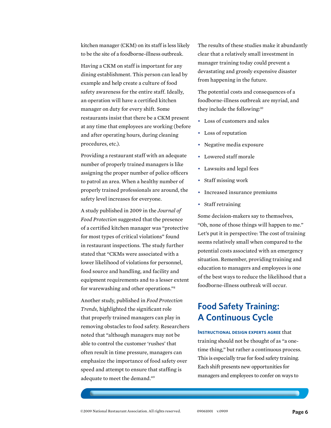kitchen manager (CKM) on its staff is less likely to be the site of a foodborne-illness outbreak.

Having a CKM on staff is important for any dining establishment. This person can lead by example and help create a culture of food safety awareness for the entire staff. Ideally, an operation will have a certified kitchen manager on duty for every shift. Some restaurants insist that there be a CKM present at any time that employees are working (before and after operating hours, during cleaning procedures, etc.).

Providing a restaurant staff with an adequate number of properly trained managers is like assigning the proper number of police officers to patrol an area. When a healthy number of properly trained professionals are around, the safety level increases for everyone.

A study published in 2009 in the *Journal of Food Protection* suggested that the presence of a certified kitchen manager was "protective for most types of critical violations" found in restaurant inspections. The study further stated that "CKMs were associated with a lower likelihood of violations for personnel, food source and handling, and facility and equipment requirements and to a lesser extent for warewashing and other operations."8

Another study, published in *Food Protection Trends,* highlighted the significant role that properly trained managers can play in removing obstacles to food safety. Researchers noted that "although managers may not be able to control the customer 'rushes' that often result in time pressure, managers can emphasize the importance of food safety over speed and attempt to ensure that staffing is adequate to meet the demand."9

The results of these studies make it abundantly clear that a relatively small investment in manager training today could prevent a devastating and grossly expensive disaster from happening in the future.

The potential costs and consequences of a foodborne-illness outbreak are myriad, and they include the following:<sup>10</sup>

- Loss of customers and sales
- Loss of reputation
- Negative media exposure
- Lowered staff morale
- Lawsuits and legal fees
- Staff missing work
- Increased insurance premiums
- Staff retraining

Some decision-makers say to themselves, "Oh, none of those things will happen to me." Let's put it in perspective: The cost of training seems relatively small when compared to the potential costs associated with an emergency situation. Remember, providing training and education to managers and employees is one of the best ways to reduce the likelihood that a foodborne-illness outbreak will occur.

#### **Food Safety Training: A Continuous Cycle**

#### **Instructional design experts agree** that training should not be thought of as "a onetime thing," but rather a continuous process. This is especially true for food safety training. Each shift presents new opportunities for managers and employees to confer on ways to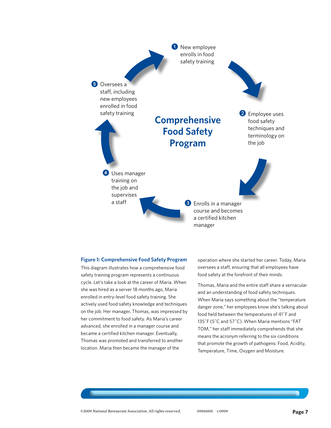

#### **Figure 1: Comprehensive Food Safety Program**

This diagram illustrates how a comprehensive food safety training program represents a continuous cycle. Let's take a look at the career of Maria. When she was hired as a server 18 months ago, Maria enrolled in entry-level food safety training. She actively used food safety knowledge and techniques on the job. Her manager, Thomas, was impressed by her commitment to food safety. As Maria's career advanced, she enrolled in a manager course and became a certified kitchen manager. Eventually, Thomas was promoted and transferred to another location. Maria then became the manager of the

operation where she started her career. Today, Maria oversees a staff, ensuring that all employees have food safety at the forefront of their minds.

Thomas, Maria and the entire staff share a vernacular and an understanding of food safety techniques. When Maria says something about the "temperature danger zone," her employees know she's talking about food held between the temperatures of 41˚F and 135˚F (5˚C and 57˚C). When Maria mentions "FAT TOM," her staff immediately comprehends that she means the acronym referring to the six conditions that promote the growth of pathogens: Food, Acidity, Temperature, Time, Oxygen and Moisture.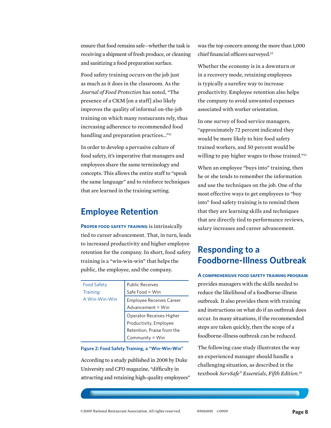ensure that food remains safe—whether the task is receiving a shipment of fresh produce, or cleaning and sanitizing a food preparation surface.

Food safety training occurs on the job just as much as it does in the classroom. As the *Journal of Food Protection* has noted, "The presence of a CKM [on a staff] also likely improves the quality of informal on-the-job training on which many restaurants rely, thus increasing adherence to recommended food handling and preparation practices..."<sup>11</sup>

In order to develop a pervasive culture of food safety, it's imperative that managers and employees share the same terminology and concepts. This allows the entire staff to "speak the same language" and to reinforce techniques that are learned in the training setting.

#### **Employee Retention**

**Proper food safety training** is intrinsically tied to career advancement. That, in turn, leads to increased productivity and higher employee retention for the company. In short, food safety training is a "win-win-win" that helps the public, the employee, and the company.

| <b>Food Safety</b> | <b>Public Receives</b>          |
|--------------------|---------------------------------|
| Training:          | Safe Food = Win                 |
| A Win-Win-Win      | <b>Employee Receives Career</b> |
|                    | Advancement = Win               |
|                    | Operator Receives Higher        |
|                    | Productivity, Employee          |
|                    | Retention, Praise from the      |
|                    | Community = Win                 |

**Figure 2: Food Safety Training, a "Win-Win-Win"**

According to a study published in 2008 by Duke University and *CFO* magazine, "difficulty in attracting and retaining high-quality employees" was the top concern among the more than 1,000 chief financial officers surveyed.12

Whether the economy is in a downturn or in a recovery mode, retaining employees is typically a surefire way to increase productivity. Employee retention also helps the company to avoid unwanted expenses associated with worker orientation.

In one survey of food service managers, "approximately 72 percent indicated they would be more likely to hire food safety trained workers, and 50 percent would be willing to pay higher wages to those trained."<sup>13</sup>

When an employee "buys into" training, then he or she tends to remember the information and use the techniques on the job. One of the most effective ways to get employees to "buy into" food safety training is to remind them that they are learning skills and techniques that are directly tied to performance reviews, salary increases and career advancement.

#### **Responding to a Foodborne-Illness Outbreak**

**A comprehensive food safety training program** provides managers with the skills needed to reduce the likelihood of a foodborne-illness outbreak. It also provides them with training and instructions on what do if an outbreak does occur. In many situations, if the recommended steps are taken quickly, then the scope of a foodborne-illness outbreak can be reduced.

The following case study illustrates the way an experienced manager should handle a challenging situation, as described in the textbook *ServSafe® Essentials, Fifth Edition.*14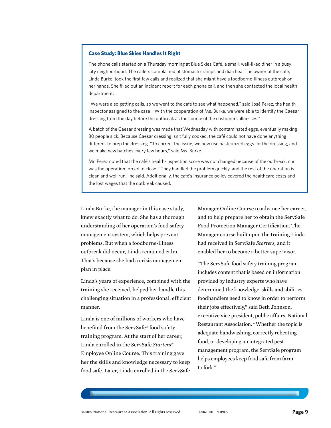#### **Case Study: Blue Skies Handles It Right**

The phone calls started on a Thursday morning at Blue Skies Café, a small, well-liked diner in a busy city neighborhood. The callers complained of stomach cramps and diarrhea. The owner of the café, Linda Burke, took the first few calls and realized that she might have a foodborne-illness outbreak on her hands. She filled out an incident report for each phone call, and then she contacted the local health department.

"We were also getting calls, so we went to the café to see what happened," said José Perez, the health inspector assigned to the case. "With the cooperation of Ms. Burke, we were able to identify the Caesar dressing from the day before the outbreak as the source of the customers' illnesses."

A batch of the Caesar dressing was made that Wednesday with contaminated eggs, eventually making 30 people sick. Because Caesar dressing isn't fully cooked, the café could not have done anything different to prep the dressing. "To correct the issue, we now use pasteurized eggs for the dressing, and we make new batches every few hours," said Ms. Burke.

Mr. Perez noted that the café's health-inspection score was not changed because of the outbreak, nor was the operation forced to close. "They handled the problem quickly, and the rest of the operation is clean and well run," he said. Additionally, the café's insurance policy covered the healthcare costs and the lost wages that the outbreak caused.

Linda Burke, the manager in this case study, knew exactly what to do. She has a thorough understanding of her operation's food safety management system, which helps prevent problems. But when a foodborne-illness outbreak did occur, Linda remained calm. That's because she had a crisis management plan in place.

Linda's years of experience, combined with the training she received, helped her handle this challenging situation in a professional, efficient manner.

Linda is one of millions of workers who have benefited from the ServSafe® food safety training program. At the start of her career, Linda enrolled in the ServSafe *Starters*® Employee Online Course. This training gave her the skills and knowledge necessary to keep food safe. Later, Linda enrolled in the ServSafe Manager Online Course to advance her career, and to help prepare her to obtain the ServSafe Food Protection Manager Certification. The Manager course built upon the training Linda had received in ServSafe *Starters,* and it enabled her to become a better supervisor.

"The ServSafe food safety training program includes content that is based on information provided by industry experts who have determined the knowledge, skills and abilities foodhandlers need to know in order to perform their jobs effectively," said Beth Johnson, executive vice president, public affairs, National Restaurant Association. "Whether the topic is adequate handwashing, correctly reheating food, or developing an integrated pest management program, the ServSafe program helps employees keep food safe from farm to fork."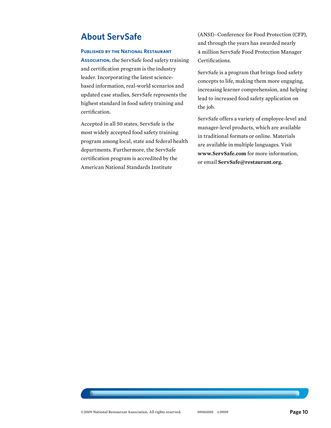#### **About ServSafe**

#### **Published by the National Restaurant**

**Association,** the ServSafe food safety training and certification program is the industry leader. Incorporating the latest sciencebased information, real-world scenarios and updated case studies, ServSafe represents the highest standard in food safety training and certification.

Accepted in all 50 states, ServSafe is the most widely accepted food safety training program among local, state and federal health departments. Furthermore, the ServSafe certification program is accredited by the American National Standards Institute

(ANSI)–Conference for Food Protection (CFP), and through the years has awarded nearly 4 million ServSafe Food Protection Manager Certifications.

ServSafe is a program that brings food safety concepts to life, making them more engaging, increasing learner comprehension, and helping lead to increased food safety application on the job.

ServSafe offers a variety of employee-level and manager-level products, which are available in traditional formats or online. Materials are available in multiple languages. Visit **www.ServSafe.com** for more information, or email **ServSafe@restaurant.org.**